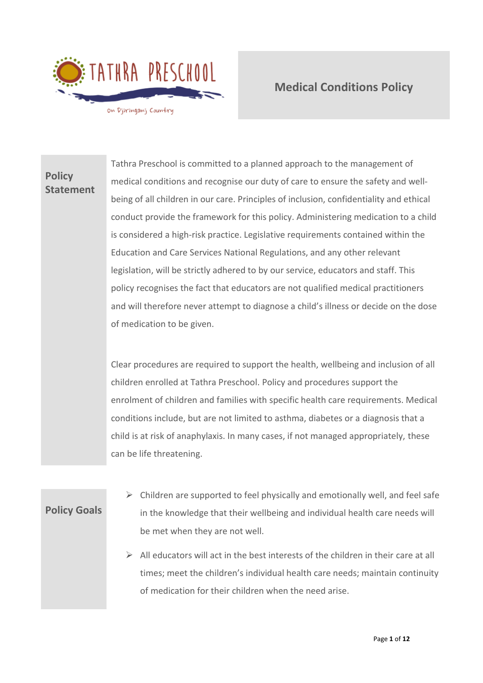

# **Policy Statement**

Tathra Preschool is committed to a planned approach to the management of medical conditions and recognise our duty of care to ensure the safety and wellbeing of all children in our care. Principles of inclusion, confidentiality and ethical conduct provide the framework for this policy. Administering medication to a child is considered a high-risk practice. Legislative requirements contained within the Education and Care Services National Regulations, and any other relevant legislation, will be strictly adhered to by our service, educators and staff. This policy recognises the fact that educators are not qualified medical practitioners and will therefore never attempt to diagnose a child's illness or decide on the dose of medication to be given.

Clear procedures are required to support the health, wellbeing and inclusion of all children enrolled at Tathra Preschool. Policy and procedures support the enrolment of children and families with specific health care requirements. Medical conditions include, but are not limited to asthma, diabetes or a diagnosis that a child is at risk of anaphylaxis. In many cases, if not managed appropriately, these can be life threatening.

**Policy Goals**

- $\triangleright$  Children are supported to feel physically and emotionally well, and feel safe in the knowledge that their wellbeing and individual health care needs will be met when they are not well.
- $\triangleright$  All educators will act in the best interests of the children in their care at all times; meet the children's individual health care needs; maintain continuity of medication for their children when the need arise.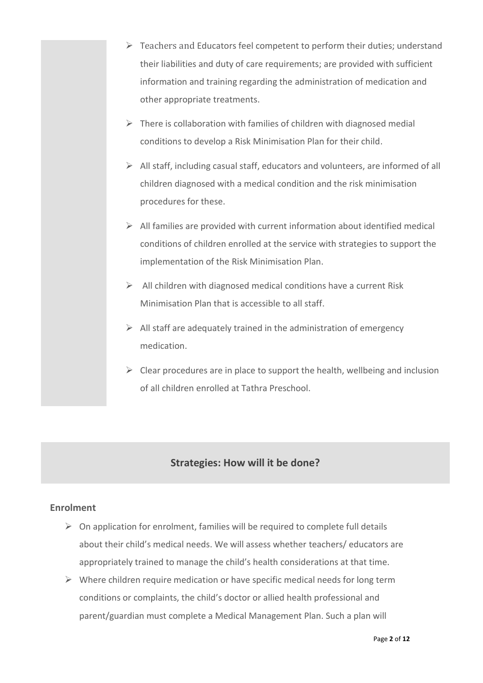- ➢ Teachers and Educators feel competent to perform their duties; understand their liabilities and duty of care requirements; are provided with sufficient information and training regarding the administration of medication and other appropriate treatments.
- $\triangleright$  There is collaboration with families of children with diagnosed medial conditions to develop a Risk Minimisation Plan for their child.
- $\triangleright$  All staff, including casual staff, educators and volunteers, are informed of all children diagnosed with a medical condition and the risk minimisation procedures for these.
- $\triangleright$  All families are provided with current information about identified medical conditions of children enrolled at the service with strategies to support the implementation of the Risk Minimisation Plan.
- $\triangleright$  All children with diagnosed medical conditions have a current Risk Minimisation Plan that is accessible to all staff.
- $\triangleright$  All staff are adequately trained in the administration of emergency medication.
- $\triangleright$  Clear procedures are in place to support the health, wellbeing and inclusion of all children enrolled at Tathra Preschool.

## **Strategies: How will it be done?**

## **Enrolment**

- $\triangleright$  On application for enrolment, families will be required to complete full details about their child's medical needs. We will assess whether teachers/ educators are appropriately trained to manage the child's health considerations at that time.
- $\triangleright$  Where children require medication or have specific medical needs for long term conditions or complaints, the child's doctor or allied health professional and parent/guardian must complete a Medical Management Plan. Such a plan will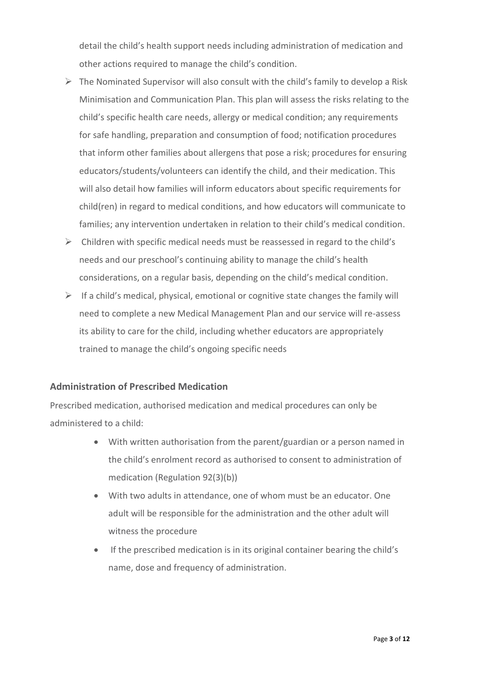detail the child's health support needs including administration of medication and other actions required to manage the child's condition.

- $\triangleright$  The Nominated Supervisor will also consult with the child's family to develop a Risk Minimisation and Communication Plan. This plan will assess the risks relating to the child's specific health care needs, allergy or medical condition; any requirements for safe handling, preparation and consumption of food; notification procedures that inform other families about allergens that pose a risk; procedures for ensuring educators/students/volunteers can identify the child, and their medication. This will also detail how families will inform educators about specific requirements for child(ren) in regard to medical conditions, and how educators will communicate to families; any intervention undertaken in relation to their child's medical condition.
- $\triangleright$  Children with specific medical needs must be reassessed in regard to the child's needs and our preschool's continuing ability to manage the child's health considerations, on a regular basis, depending on the child's medical condition.
- $\triangleright$  If a child's medical, physical, emotional or cognitive state changes the family will need to complete a new Medical Management Plan and our service will re-assess its ability to care for the child, including whether educators are appropriately trained to manage the child's ongoing specific needs

## **Administration of Prescribed Medication**

Prescribed medication, authorised medication and medical procedures can only be administered to a child:

- With written authorisation from the parent/guardian or a person named in the child's enrolment record as authorised to consent to administration of medication (Regulation 92(3)(b))
- With two adults in attendance, one of whom must be an educator. One adult will be responsible for the administration and the other adult will witness the procedure
- If the prescribed medication is in its original container bearing the child's name, dose and frequency of administration.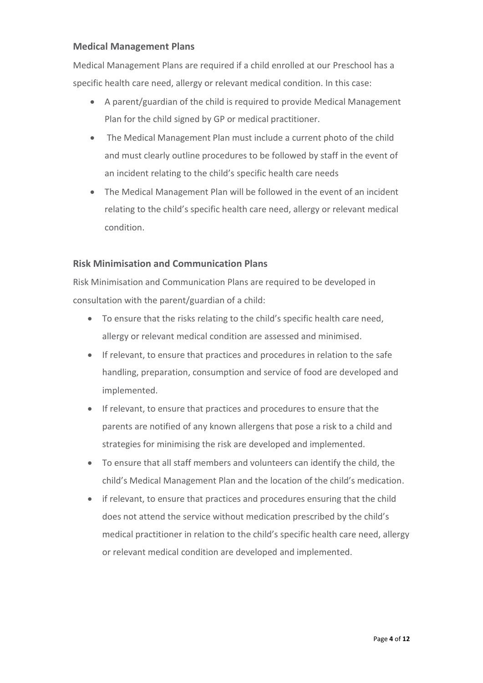## **Medical Management Plans**

Medical Management Plans are required if a child enrolled at our Preschool has a specific health care need, allergy or relevant medical condition. In this case:

- A parent/guardian of the child is required to provide Medical Management Plan for the child signed by GP or medical practitioner.
- The Medical Management Plan must include a current photo of the child and must clearly outline procedures to be followed by staff in the event of an incident relating to the child's specific health care needs
- The Medical Management Plan will be followed in the event of an incident relating to the child's specific health care need, allergy or relevant medical condition.

## **Risk Minimisation and Communication Plans**

Risk Minimisation and Communication Plans are required to be developed in consultation with the parent/guardian of a child:

- To ensure that the risks relating to the child's specific health care need, allergy or relevant medical condition are assessed and minimised.
- If relevant, to ensure that practices and procedures in relation to the safe handling, preparation, consumption and service of food are developed and implemented.
- If relevant, to ensure that practices and procedures to ensure that the parents are notified of any known allergens that pose a risk to a child and strategies for minimising the risk are developed and implemented.
- To ensure that all staff members and volunteers can identify the child, the child's Medical Management Plan and the location of the child's medication.
- if relevant, to ensure that practices and procedures ensuring that the child does not attend the service without medication prescribed by the child's medical practitioner in relation to the child's specific health care need, allergy or relevant medical condition are developed and implemented.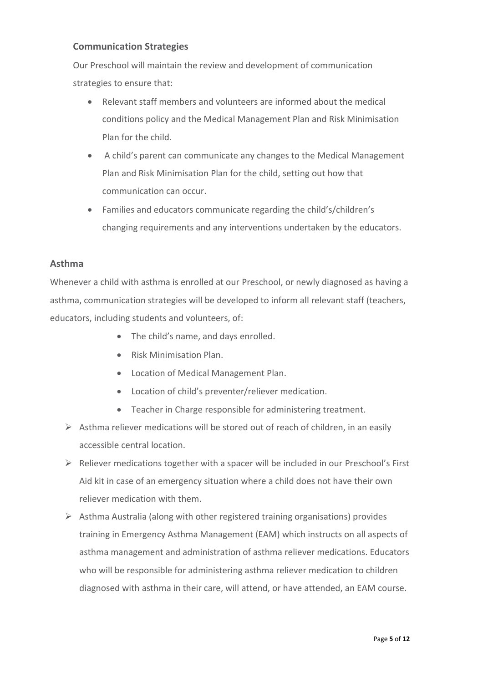## **Communication Strategies**

Our Preschool will maintain the review and development of communication strategies to ensure that:

- Relevant staff members and volunteers are informed about the medical conditions policy and the Medical Management Plan and Risk Minimisation Plan for the child.
- A child's parent can communicate any changes to the Medical Management Plan and Risk Minimisation Plan for the child, setting out how that communication can occur.
- Families and educators communicate regarding the child's/children's changing requirements and any interventions undertaken by the educators.

### **Asthma**

Whenever a child with asthma is enrolled at our Preschool, or newly diagnosed as having a asthma, communication strategies will be developed to inform all relevant staff (teachers, educators, including students and volunteers, of:

- The child's name, and days enrolled.
- Risk Minimisation Plan.
- Location of Medical Management Plan.
- Location of child's preventer/reliever medication.
- Teacher in Charge responsible for administering treatment.
- $\triangleright$  Asthma reliever medications will be stored out of reach of children, in an easily accessible central location.
- ➢ Reliever medications together with a spacer will be included in our Preschool's First Aid kit in case of an emergency situation where a child does not have their own reliever medication with them.
- $\triangleright$  Asthma Australia (along with other registered training organisations) provides training in Emergency Asthma Management (EAM) which instructs on all aspects of asthma management and administration of asthma reliever medications. Educators who will be responsible for administering asthma reliever medication to children diagnosed with asthma in their care, will attend, or have attended, an EAM course.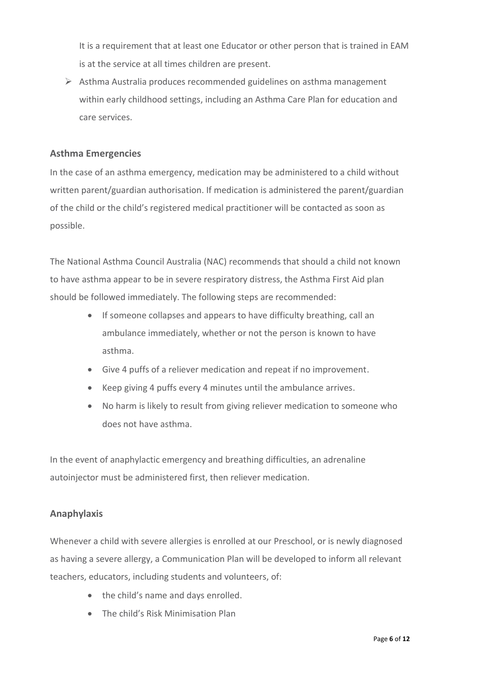It is a requirement that at least one Educator or other person that is trained in EAM is at the service at all times children are present.

 $\triangleright$  Asthma Australia produces recommended guidelines on asthma management within early childhood settings, including an Asthma Care Plan for education and care services.

#### **Asthma Emergencies**

In the case of an asthma emergency, medication may be administered to a child without written parent/guardian authorisation. If medication is administered the parent/guardian of the child or the child's registered medical practitioner will be contacted as soon as possible.

The National Asthma Council Australia (NAC) recommends that should a child not known to have asthma appear to be in severe respiratory distress, the Asthma First Aid plan should be followed immediately. The following steps are recommended:

- If someone collapses and appears to have difficulty breathing, call an ambulance immediately, whether or not the person is known to have asthma.
- Give 4 puffs of a reliever medication and repeat if no improvement.
- Keep giving 4 puffs every 4 minutes until the ambulance arrives.
- No harm is likely to result from giving reliever medication to someone who does not have asthma.

In the event of anaphylactic emergency and breathing difficulties, an adrenaline autoinjector must be administered first, then reliever medication.

#### **Anaphylaxis**

Whenever a child with severe allergies is enrolled at our Preschool, or is newly diagnosed as having a severe allergy, a Communication Plan will be developed to inform all relevant teachers, educators, including students and volunteers, of:

- the child's name and days enrolled.
- The child's Risk Minimisation Plan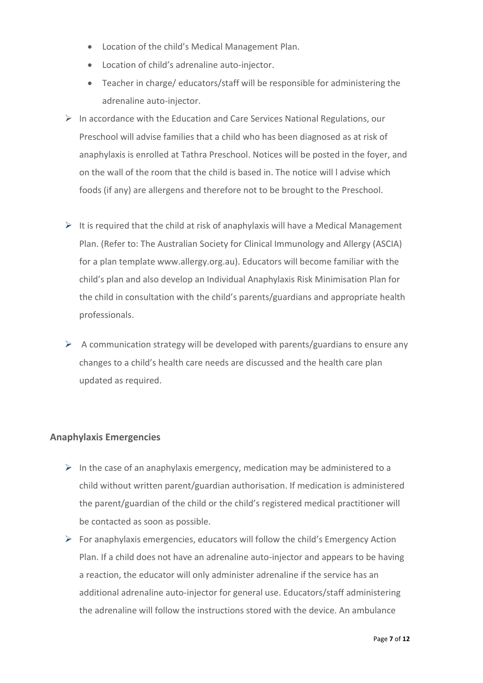- Location of the child's Medical Management Plan.
- Location of child's adrenaline auto-injector.
- Teacher in charge/ educators/staff will be responsible for administering the adrenaline auto-injector.
- $\triangleright$  In accordance with the Education and Care Services National Regulations, our Preschool will advise families that a child who has been diagnosed as at risk of anaphylaxis is enrolled at Tathra Preschool. Notices will be posted in the foyer, and on the wall of the room that the child is based in. The notice will l advise which foods (if any) are allergens and therefore not to be brought to the Preschool.
- $\triangleright$  It is required that the child at risk of anaphylaxis will have a Medical Management Plan. (Refer to: The Australian Society for Clinical Immunology and Allergy (ASCIA) for a plan template www.allergy.org.au). Educators will become familiar with the child's plan and also develop an Individual Anaphylaxis Risk Minimisation Plan for the child in consultation with the child's parents/guardians and appropriate health professionals.
- $\triangleright$  A communication strategy will be developed with parents/guardians to ensure any changes to a child's health care needs are discussed and the health care plan updated as required.

## **Anaphylaxis Emergencies**

- $\triangleright$  In the case of an anaphylaxis emergency, medication may be administered to a child without written parent/guardian authorisation. If medication is administered the parent/guardian of the child or the child's registered medical practitioner will be contacted as soon as possible.
- $\triangleright$  For anaphylaxis emergencies, educators will follow the child's Emergency Action Plan. If a child does not have an adrenaline auto-injector and appears to be having a reaction, the educator will only administer adrenaline if the service has an additional adrenaline auto-injector for general use. Educators/staff administering the adrenaline will follow the instructions stored with the device. An ambulance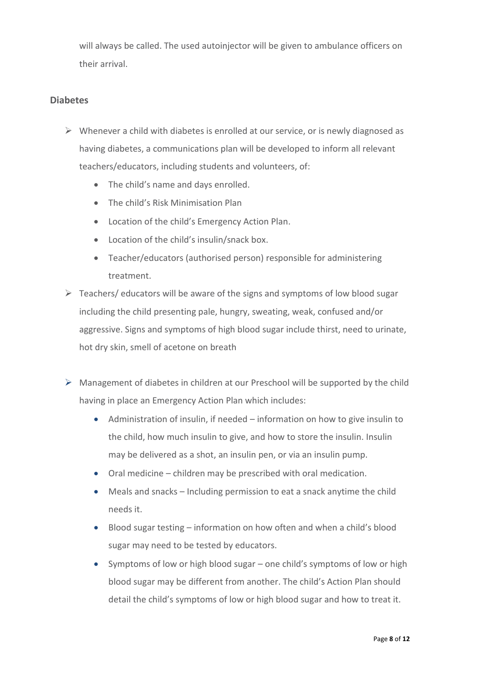will always be called. The used autoinjector will be given to ambulance officers on their arrival.

## **Diabetes**

- $\triangleright$  Whenever a child with diabetes is enrolled at our service, or is newly diagnosed as having diabetes, a communications plan will be developed to inform all relevant teachers/educators, including students and volunteers, of:
	- The child's name and days enrolled.
	- The child's Risk Minimisation Plan
	- Location of the child's Emergency Action Plan.
	- Location of the child's insulin/snack box.
	- Teacher/educators (authorised person) responsible for administering treatment.
- $\triangleright$  Teachers/ educators will be aware of the signs and symptoms of low blood sugar including the child presenting pale, hungry, sweating, weak, confused and/or aggressive. Signs and symptoms of high blood sugar include thirst, need to urinate, hot dry skin, smell of acetone on breath
- $\triangleright$  Management of diabetes in children at our Preschool will be supported by the child having in place an Emergency Action Plan which includes:
	- Administration of insulin, if needed information on how to give insulin to the child, how much insulin to give, and how to store the insulin. Insulin may be delivered as a shot, an insulin pen, or via an insulin pump.
	- Oral medicine children may be prescribed with oral medication.
	- Meals and snacks Including permission to eat a snack anytime the child needs it.
	- Blood sugar testing information on how often and when a child's blood sugar may need to be tested by educators.
	- Symptoms of low or high blood sugar one child's symptoms of low or high blood sugar may be different from another. The child's Action Plan should detail the child's symptoms of low or high blood sugar and how to treat it.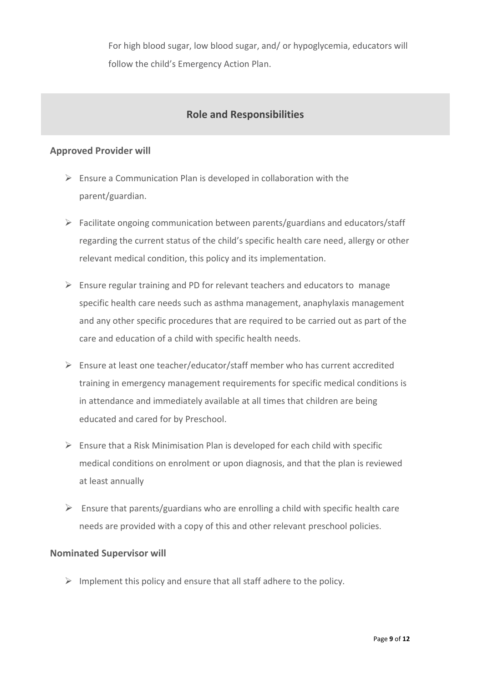For high blood sugar, low blood sugar, and/ or hypoglycemia, educators will follow the child's Emergency Action Plan.

## **Role and Responsibilities**

### **Approved Provider will**

- $\triangleright$  Ensure a Communication Plan is developed in collaboration with the parent/guardian.
- $\triangleright$  Facilitate ongoing communication between parents/guardians and educators/staff regarding the current status of the child's specific health care need, allergy or other relevant medical condition, this policy and its implementation.
- $\triangleright$  Ensure regular training and PD for relevant teachers and educators to manage specific health care needs such as asthma management, anaphylaxis management and any other specific procedures that are required to be carried out as part of the care and education of a child with specific health needs.
- ➢ Ensure at least one teacher/educator/staff member who has current accredited training in emergency management requirements for specific medical conditions is in attendance and immediately available at all times that children are being educated and cared for by Preschool.
- $\triangleright$  Ensure that a Risk Minimisation Plan is developed for each child with specific medical conditions on enrolment or upon diagnosis, and that the plan is reviewed at least annually
- $\triangleright$  Ensure that parents/guardians who are enrolling a child with specific health care needs are provided with a copy of this and other relevant preschool policies.

#### **Nominated Supervisor will**

 $\triangleright$  Implement this policy and ensure that all staff adhere to the policy.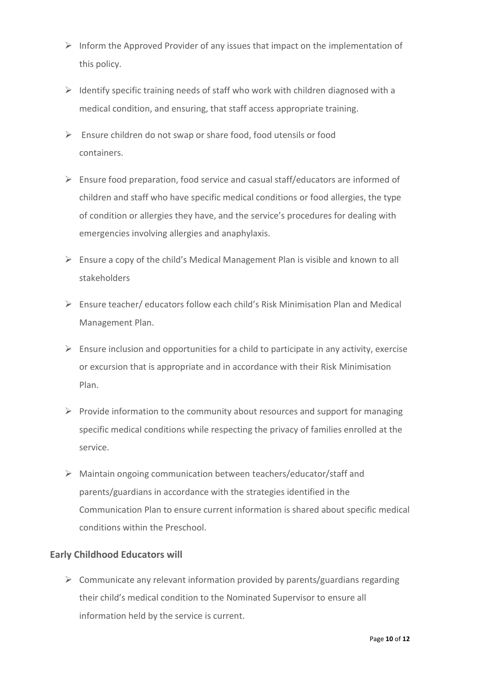- $\triangleright$  Inform the Approved Provider of any issues that impact on the implementation of this policy.
- $\triangleright$  Identify specific training needs of staff who work with children diagnosed with a medical condition, and ensuring, that staff access appropriate training.
- $\triangleright$  Ensure children do not swap or share food, food utensils or food containers.
- ➢ Ensure food preparation, food service and casual staff/educators are informed of children and staff who have specific medical conditions or food allergies, the type of condition or allergies they have, and the service's procedures for dealing with emergencies involving allergies and anaphylaxis.
- $\triangleright$  Ensure a copy of the child's Medical Management Plan is visible and known to all stakeholders
- $\triangleright$  Ensure teacher/ educators follow each child's Risk Minimisation Plan and Medical Management Plan.
- $\triangleright$  Ensure inclusion and opportunities for a child to participate in any activity, exercise or excursion that is appropriate and in accordance with their Risk Minimisation Plan.
- $\triangleright$  Provide information to the community about resources and support for managing specific medical conditions while respecting the privacy of families enrolled at the service.
- ➢ Maintain ongoing communication between teachers/educator/staff and parents/guardians in accordance with the strategies identified in the Communication Plan to ensure current information is shared about specific medical conditions within the Preschool.

## **Early Childhood Educators will**

 $\triangleright$  Communicate any relevant information provided by parents/guardians regarding their child's medical condition to the Nominated Supervisor to ensure all information held by the service is current.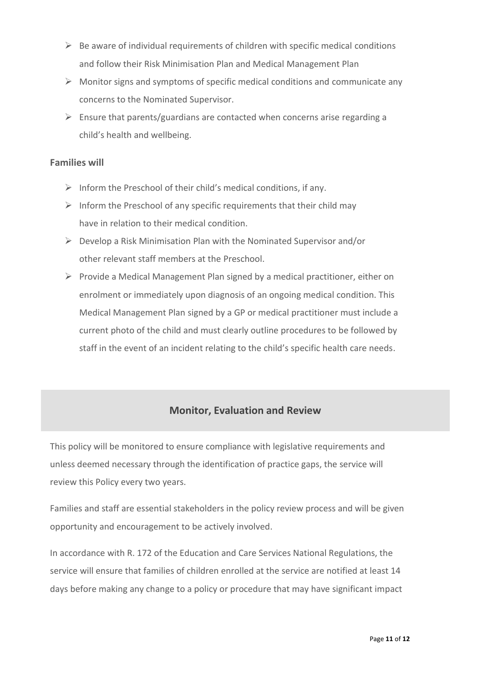- $\triangleright$  Be aware of individual requirements of children with specific medical conditions and follow their Risk Minimisation Plan and Medical Management Plan
- $\triangleright$  Monitor signs and symptoms of specific medical conditions and communicate any concerns to the Nominated Supervisor.
- $\triangleright$  Ensure that parents/guardians are contacted when concerns arise regarding a child's health and wellbeing.

## **Families will**

- $\triangleright$  Inform the Preschool of their child's medical conditions, if any.
- $\triangleright$  Inform the Preschool of any specific requirements that their child may have in relation to their medical condition.
- ➢ Develop a Risk Minimisation Plan with the Nominated Supervisor and/or other relevant staff members at the Preschool.
- ➢ Provide a Medical Management Plan signed by a medical practitioner, either on enrolment or immediately upon diagnosis of an ongoing medical condition. This Medical Management Plan signed by a GP or medical practitioner must include a current photo of the child and must clearly outline procedures to be followed by staff in the event of an incident relating to the child's specific health care needs.

## **Monitor, Evaluation and Review**

This policy will be monitored to ensure compliance with legislative requirements and unless deemed necessary through the identification of practice gaps, the service will review this Policy every two years.

Families and staff are essential stakeholders in the policy review process and will be given opportunity and encouragement to be actively involved.

In accordance with R. 172 of the Education and Care Services National Regulations, the service will ensure that families of children enrolled at the service are notified at least 14 days before making any change to a policy or procedure that may have significant impact